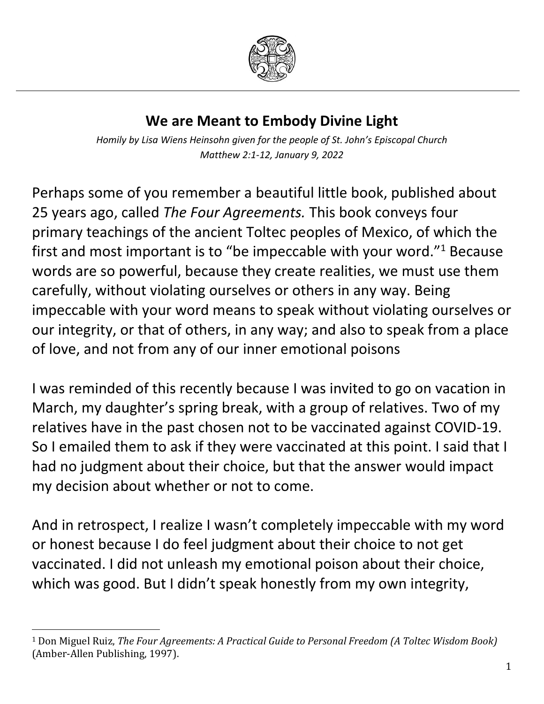

## **We are Meant to Embody Divine Light**

*Homily by Lisa Wiens Heinsohn given for the people of St. John's Episcopal Church Matthew 2:1-12, January 9, 2022*

Perhaps some of you remember a beautiful little book, published about 25 years ago, called *The Four Agreements.* This book conveys four primary teachings of the ancient Toltec peoples of Mexico, of which the first and most important is to "be impeccable with your word."<sup>1</sup> Because words are so powerful, because they create realities, we must use them carefully, without violating ourselves or others in any way. Being impeccable with your word means to speak without violating ourselves or our integrity, or that of others, in any way; and also to speak from a place of love, and not from any of our inner emotional poisons

I was reminded of this recently because I was invited to go on vacation in March, my daughter's spring break, with a group of relatives. Two of my relatives have in the past chosen not to be vaccinated against COVID-19. So I emailed them to ask if they were vaccinated at this point. I said that I had no judgment about their choice, but that the answer would impact my decision about whether or not to come.

And in retrospect, I realize I wasn't completely impeccable with my word or honest because I do feel judgment about their choice to not get vaccinated. I did not unleash my emotional poison about their choice, which was good. But I didn't speak honestly from my own integrity,

 $\overline{\phantom{a}}$ 

<sup>1</sup> Don Miguel Ruiz, *The Four Agreements: A Practical Guide to Personal Freedom (A Toltec Wisdom Book)*  (Amber-Allen Publishing, 1997).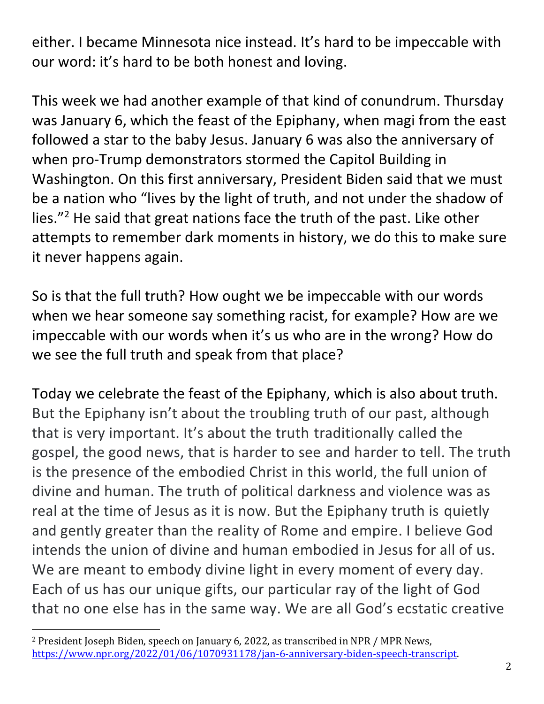either. I became Minnesota nice instead. It's hard to be impeccable with our word: it's hard to be both honest and loving.

This week we had another example of that kind of conundrum. Thursday was January 6, which the feast of the Epiphany, when magi from the east followed a star to the baby Jesus. January 6 was also the anniversary of when pro-Trump demonstrators stormed the Capitol Building in Washington. On this first anniversary, President Biden said that we must be a nation who "lives by the light of truth, and not under the shadow of lies."<sup>2</sup> He said that great nations face the truth of the past. Like other attempts to remember dark moments in history, we do this to make sure it never happens again.

So is that the full truth? How ought we be impeccable with our words when we hear someone say something racist, for example? How are we impeccable with our words when it's us who are in the wrong? How do we see the full truth and speak from that place?

Today we celebrate the feast of the Epiphany, which is also about truth. But the Epiphany isn't about the troubling truth of our past, although that is very important. It's about the truth traditionally called the gospel, the good news, that is harder to see and harder to tell. The truth is the presence of the embodied Christ in this world, the full union of divine and human. The truth of political darkness and violence was as real at the time of Jesus as it is now. But the Epiphany truth is quietly and gently greater than the reality of Rome and empire. I believe God intends the union of divine and human embodied in Jesus for all of us. We are meant to embody divine light in every moment of every day. Each of us has our unique gifts, our particular ray of the light of God that no one else has in the same way. We are all God's ecstatic creative

 $\overline{\phantom{a}}$ 

<sup>2</sup> President Joseph Biden, speech on January 6, 2022, as transcribed in NPR / MPR News, [https://www.npr.org/2022/01/06/1070931178/jan-6-anniversary-biden-speech-transcript.](https://www.npr.org/2022/01/06/1070931178/jan-6-anniversary-biden-speech-transcript)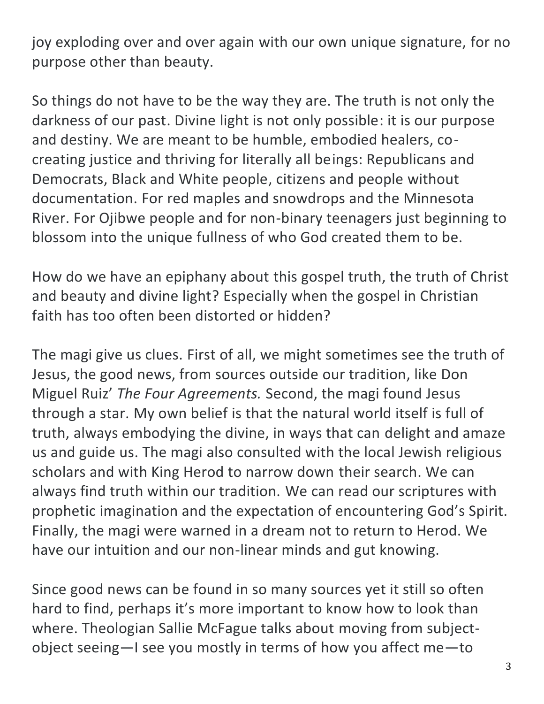joy exploding over and over again with our own unique signature, for no purpose other than beauty.

So things do not have to be the way they are. The truth is not only the darkness of our past. Divine light is not only possible: it is our purpose and destiny. We are meant to be humble, embodied healers, cocreating justice and thriving for literally all beings: Republicans and Democrats, Black and White people, citizens and people without documentation. For red maples and snowdrops and the Minnesota River. For Ojibwe people and for non-binary teenagers just beginning to blossom into the unique fullness of who God created them to be.

How do we have an epiphany about this gospel truth, the truth of Christ and beauty and divine light? Especially when the gospel in Christian faith has too often been distorted or hidden?

The magi give us clues. First of all, we might sometimes see the truth of Jesus, the good news, from sources outside our tradition, like Don Miguel Ruiz' *The Four Agreements.* Second, the magi found Jesus through a star. My own belief is that the natural world itself is full of truth, always embodying the divine, in ways that can delight and amaze us and guide us. The magi also consulted with the local Jewish religious scholars and with King Herod to narrow down their search. We can always find truth within our tradition. We can read our scriptures with prophetic imagination and the expectation of encountering God's Spirit. Finally, the magi were warned in a dream not to return to Herod. We have our intuition and our non-linear minds and gut knowing.

Since good news can be found in so many sources yet it still so often hard to find, perhaps it's more important to know how to look than where. Theologian Sallie McFague talks about moving from subjectobject seeing—I see you mostly in terms of how you affect me—to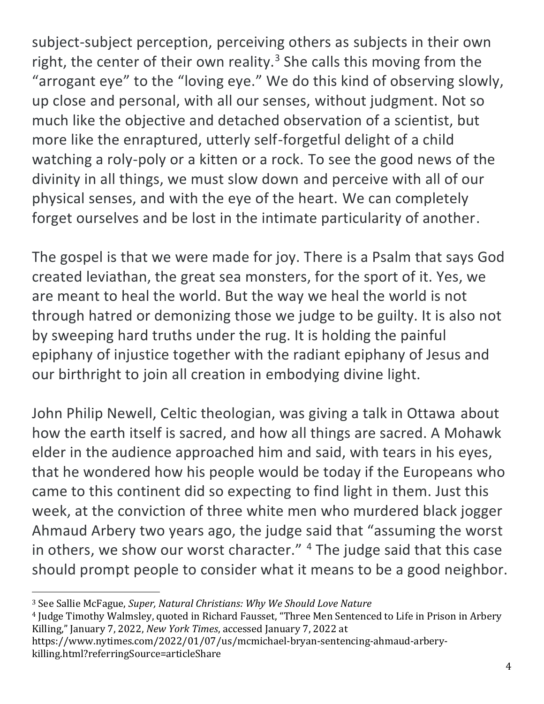subject-subject perception, perceiving others as subjects in their own right, the center of their own reality.<sup>3</sup> She calls this moving from the "arrogant eye" to the "loving eye." We do this kind of observing slowly, up close and personal, with all our senses, without judgment. Not so much like the objective and detached observation of a scientist, but more like the enraptured, utterly self-forgetful delight of a child watching a roly-poly or a kitten or a rock. To see the good news of the divinity in all things, we must slow down and perceive with all of our physical senses, and with the eye of the heart. We can completely forget ourselves and be lost in the intimate particularity of another.

The gospel is that we were made for joy. There is a Psalm that says God created leviathan, the great sea monsters, for the sport of it. Yes, we are meant to heal the world. But the way we heal the world is not through hatred or demonizing those we judge to be guilty. It is also not by sweeping hard truths under the rug. It is holding the painful epiphany of injustice together with the radiant epiphany of Jesus and our birthright to join all creation in embodying divine light.

John Philip Newell, Celtic theologian, was giving a talk in Ottawa about how the earth itself is sacred, and how all things are sacred. A Mohawk elder in the audience approached him and said, with tears in his eyes, that he wondered how his people would be today if the Europeans who came to this continent did so expecting to find light in them. Just this week, at the conviction of three white men who murdered black jogger Ahmaud Arbery two years ago, the judge said that "assuming the worst in others, we show our worst character." <sup>4</sup> The judge said that this case should prompt people to consider what it means to be a good neighbor.

 $\overline{\phantom{a}}$ 

<sup>4</sup> Judge Timothy Walmsley, quoted in Richard Fausset, "Three Men Sentenced to Life in Prison in Arbery Killing," January 7, 2022, *New York Times*, accessed January 7, 2022 at

https://www.nytimes.com/2022/01/07/us/mcmichael-bryan-sentencing-ahmaud-arberykilling.html?referringSource=articleShare

<sup>3</sup> See Sallie McFague, *Super, Natural Christians: Why We Should Love Nature*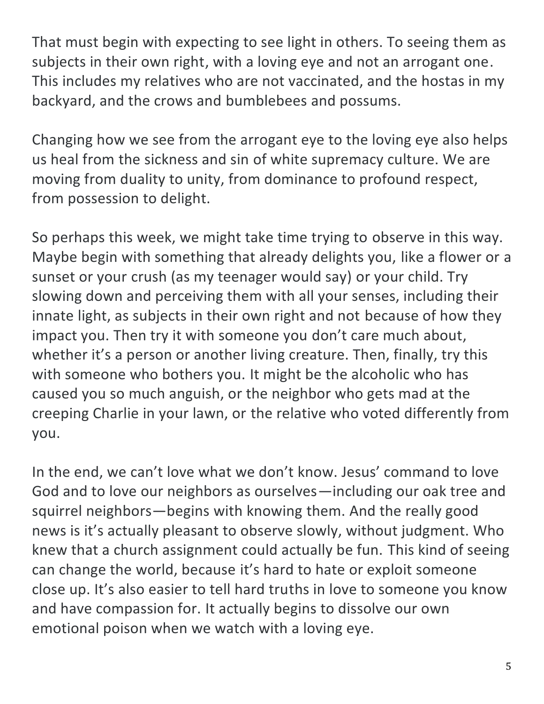That must begin with expecting to see light in others. To seeing them as subjects in their own right, with a loving eye and not an arrogant one. This includes my relatives who are not vaccinated, and the hostas in my backyard, and the crows and bumblebees and possums.

Changing how we see from the arrogant eye to the loving eye also helps us heal from the sickness and sin of white supremacy culture. We are moving from duality to unity, from dominance to profound respect, from possession to delight.

So perhaps this week, we might take time trying to observe in this way. Maybe begin with something that already delights you, like a flower or a sunset or your crush (as my teenager would say) or your child. Try slowing down and perceiving them with all your senses, including their innate light, as subjects in their own right and not because of how they impact you. Then try it with someone you don't care much about, whether it's a person or another living creature. Then, finally, try this with someone who bothers you. It might be the alcoholic who has caused you so much anguish, or the neighbor who gets mad at the creeping Charlie in your lawn, or the relative who voted differently from you.

In the end, we can't love what we don't know. Jesus' command to love God and to love our neighbors as ourselves—including our oak tree and squirrel neighbors—begins with knowing them. And the really good news is it's actually pleasant to observe slowly, without judgment. Who knew that a church assignment could actually be fun. This kind of seeing can change the world, because it's hard to hate or exploit someone close up. It's also easier to tell hard truths in love to someone you know and have compassion for. It actually begins to dissolve our own emotional poison when we watch with a loving eye.